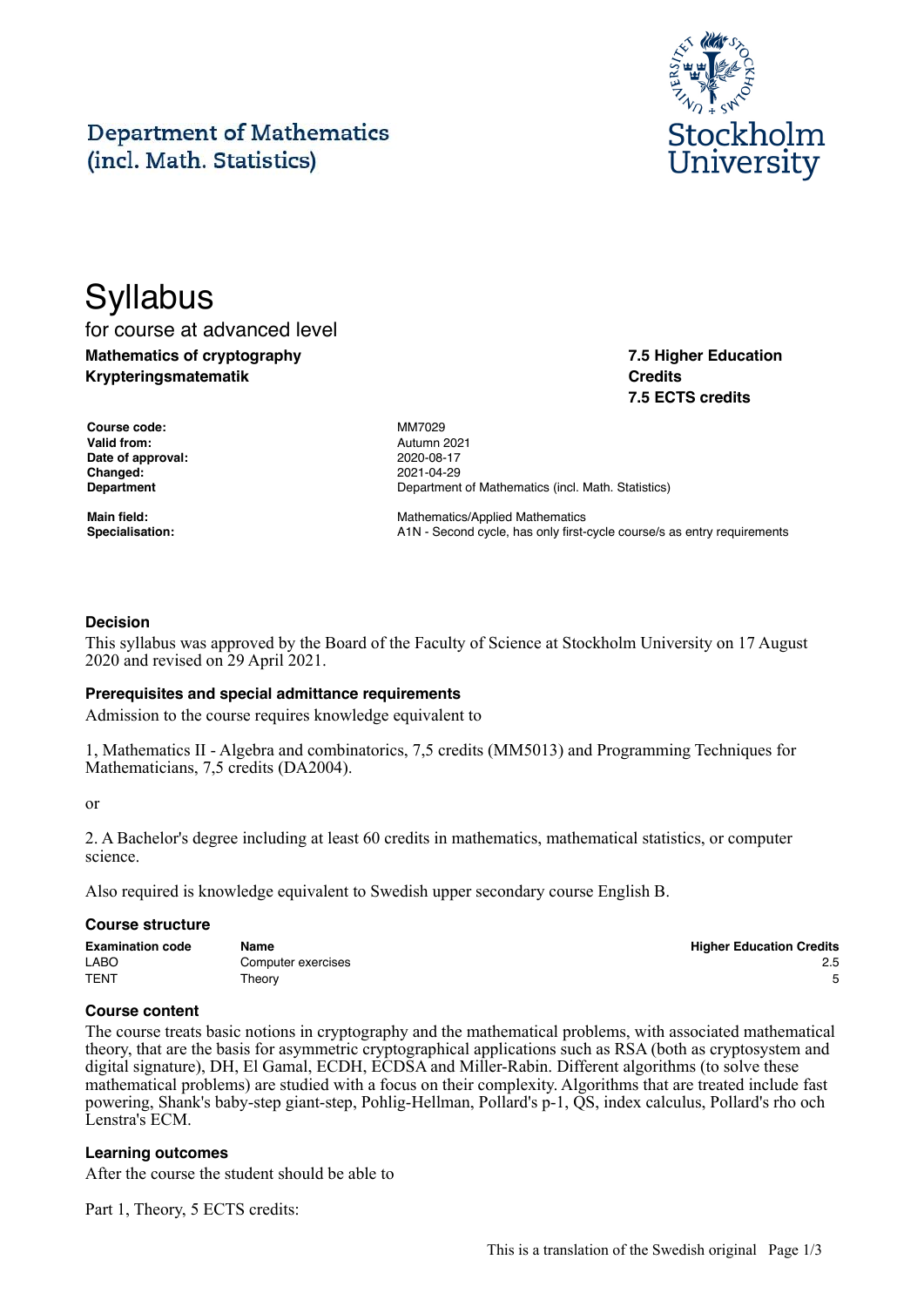#### This is a translation of the Swedish original Page 1/3

# **Department of Mathematics** (incl. Math. Statistics)

# **Syllabus**

for course at advanced level **Mathematics of cryptography Krypteringsmatematik**

**Course code:** MM7029 **Valid from:** Autumn 2021 **Date of approval:** 2020-08-17 **Changed:** 2021-04-29

**Department** Department Department of Mathematics (incl. Math. Statistics)

**Main field:** Mathematics/Applied Mathematics Specialisation: **A1N** - Second cycle, has only first-cycle course/s as entry requirements

# **Decision**

This syllabus was approved by the Board of the Faculty of Science at Stockholm University on 17 August 2020 and revised on 29 April 2021.

#### **Prerequisites and special admittance requirements**

Admission to the course requires knowledge equivalent to

1, Mathematics II - Algebra and combinatorics, 7,5 credits (MM5013) and Programming Techniques for Mathematicians, 7,5 credits (DA2004).

or

2. A Bachelor's degree including at least 60 credits in mathematics, mathematical statistics, or computer science.

Also required is knowledge equivalent to Swedish upper secondary course English B.

#### **Course structure**

| <b>Examination code</b> | Name               | <b>Higher Education Credits</b> |
|-------------------------|--------------------|---------------------------------|
| <b>LABO</b>             | Computer exercises | 2.5                             |
| <b>TENT</b>             | Theory             |                                 |

#### **Course content**

The course treats basic notions in cryptography and the mathematical problems, with associated mathematical theory, that are the basis for asymmetric cryptographical applications such as RSA (both as cryptosystem and digital signature), DH, El Gamal, ECDH, ECDSA and Miller-Rabin. Different algorithms (to solve these mathematical problems) are studied with a focus on their complexity. Algorithms that are treated include fast powering, Shank's baby-step giant-step, Pohlig-Hellman, Pollard's p-1, QS, index calculus, Pollard's rho och Lenstra's ECM.

#### **Learning outcomes**

After the course the student should be able to

Part 1, Theory, 5 ECTS credits:



**7.5 Higher Education**

**7.5 ECTS credits**

**Credits**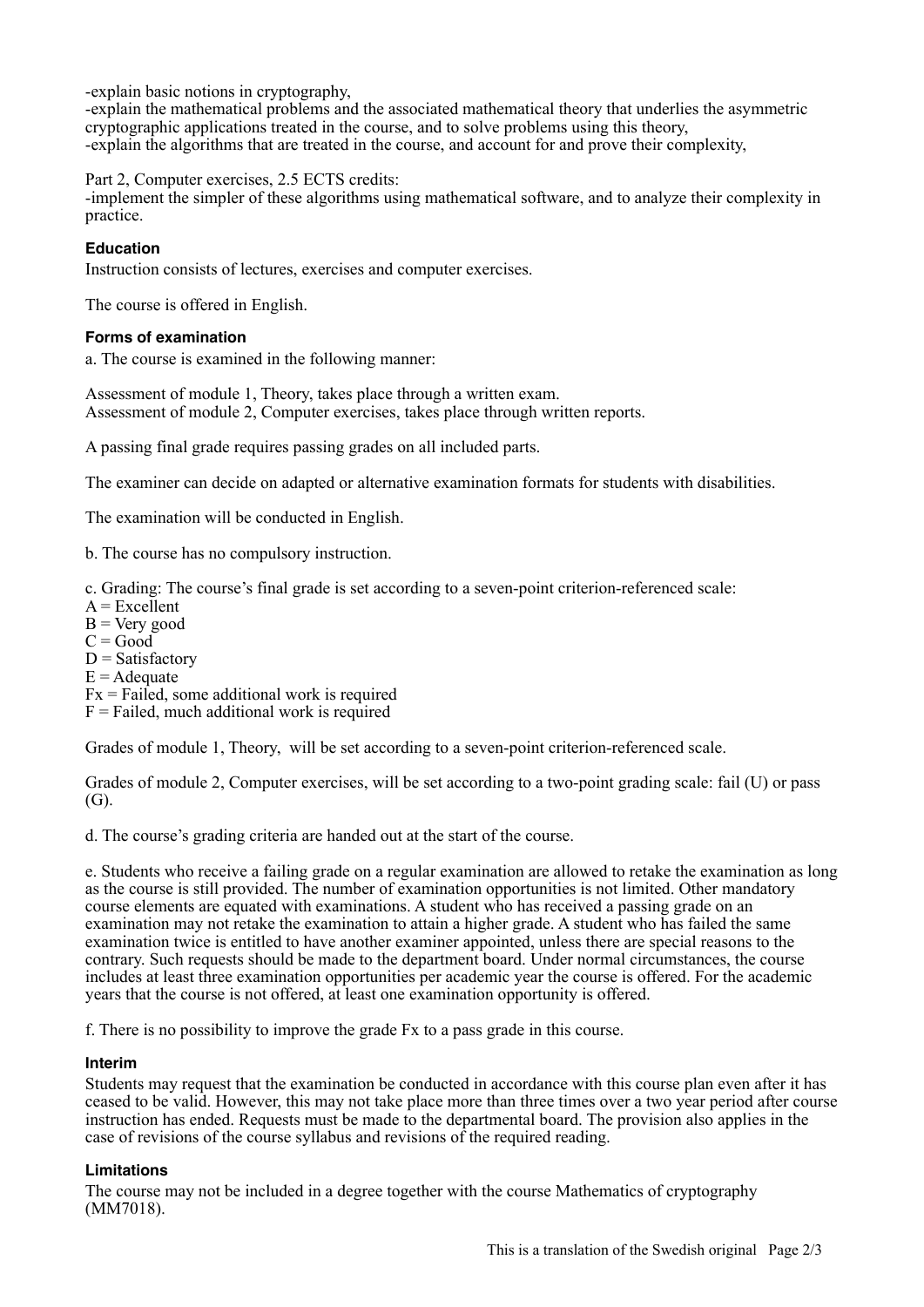-explain basic notions in cryptography,

-explain the mathematical problems and the associated mathematical theory that underlies the asymmetric cryptographic applications treated in the course, and to solve problems using this theory, -explain the algorithms that are treated in the course, and account for and prove their complexity,

Part 2, Computer exercises, 2.5 ECTS credits:

-implement the simpler of these algorithms using mathematical software, and to analyze their complexity in practice.

# **Education**

Instruction consists of lectures, exercises and computer exercises.

The course is offered in English.

#### **Forms of examination**

a. The course is examined in the following manner:

Assessment of module 1, Theory, takes place through a written exam. Assessment of module 2, Computer exercises, takes place through written reports.

A passing final grade requires passing grades on all included parts.

The examiner can decide on adapted or alternative examination formats for students with disabilities.

The examination will be conducted in English.

b. The course has no compulsory instruction.

c. Grading: The course's final grade is set according to a seven-point criterion-referenced scale:

 $A = Excelient$ 

 $B = V$ ery good

 $C = Good$ 

 $D = Satisfactory$ 

 $E =$ Adequate

 $Fx = Fai\hat{e}d$ , some additional work is required

 $F =$  Failed, much additional work is required

Grades of module 1, Theory, will be set according to a seven-point criterion-referenced scale.

Grades of module 2, Computer exercises, will be set according to a two-point grading scale: fail (U) or pass (G).

d. The course's grading criteria are handed out at the start of the course.

e. Students who receive a failing grade on a regular examination are allowed to retake the examination as long as the course is still provided. The number of examination opportunities is not limited. Other mandatory course elements are equated with examinations. A student who has received a passing grade on an examination may not retake the examination to attain a higher grade. A student who has failed the same examination twice is entitled to have another examiner appointed, unless there are special reasons to the contrary. Such requests should be made to the department board. Under normal circumstances, the course includes at least three examination opportunities per academic year the course is offered. For the academic years that the course is not offered, at least one examination opportunity is offered.

f. There is no possibility to improve the grade Fx to a pass grade in this course.

# **Interim**

Students may request that the examination be conducted in accordance with this course plan even after it has ceased to be valid. However, this may not take place more than three times over a two year period after course instruction has ended. Requests must be made to the departmental board. The provision also applies in the case of revisions of the course syllabus and revisions of the required reading.

# **Limitations**

The course may not be included in a degree together with the course Mathematics of cryptography (MM7018).